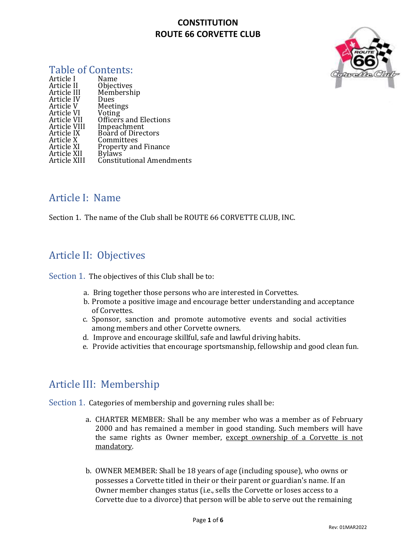

#### Table of Contents:

| Name                        |
|-----------------------------|
| Objectives                  |
| Membership                  |
| Dues                        |
| Meetings                    |
| Voting                      |
| Officers and Elections      |
| Impeachment                 |
| <b>Board of Directors</b>   |
| Committees                  |
| <b>Property and Finance</b> |
| <b>Bylaws</b>               |
| Constitutional Amendments   |
|                             |

## Article I: Name

Section 1. The name of the Club shall be ROUTE 66 CORVETTE CLUB, INC.

## Article II: Objectives

Section 1. The objectives of this Club shall be to:

- a. Bring together those persons who are interested in Corvettes.
- b. Promote a positive image and encourage better understanding and acceptance of Corvettes.
- c. Sponsor, sanction and promote automotive events and social activities among members and other Corvette owners.
- d. Improve and encourage skillful, safe and lawful driving habits.
- e. Provide activities that encourage sportsmanship, fellowship and good clean fun.

## Article III: Membership

Section 1. Categories of membership and governing rules shall be:

- a. CHARTER MEMBER: Shall be any member who was a member as of February 2000 and has remained a member in good standing. Such members will have the same rights as Owner member, except ownership of a Corvette is not mandatory.
- b. OWNER MEMBER: Shall be 18 years of age (including spouse), who owns or possesses a Corvette titled in their or their parent or guardian's name. If an Owner member changes status (i.e., sells the Corvette or loses access to a Corvette due to a divorce) that person will be able to serve out the remaining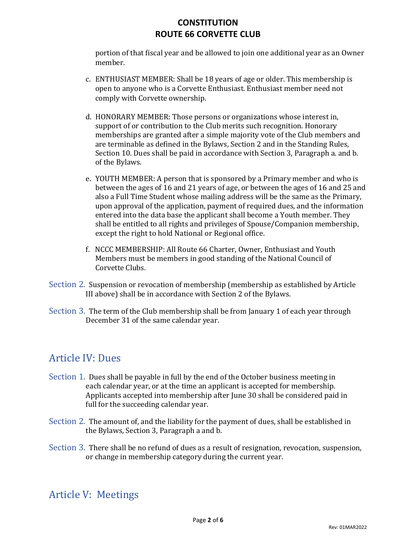portion of that fiscal year and be allowed to join one additional year as an Owner member.

- c. ENTHUSIAST MEMBER: Shall be 18 years of age or older. This membership is open to anyone who is a Corvette Enthusiast. Enthusiast member need not comply with Corvette ownership.
- d. HONORARY MEMBER: Those persons or organizations whose interest in, support of or contribution to the Club merits such recognition. Honorary memberships are granted after a simple majority vote of the Club members and are terminable as defined in the Bylaws, Section 2 and in the Standing Rules, Section 10. Dues shall be paid in accordance with Section 3, Paragraph a. and b. of the Bylaws.
- e. YOUTH MEMBER: A person that is sponsored by a Primary member and who is between the ages of 16 and 21 years of age, or between the ages of 16 and 25 and also a Full Time Student whose mailing address will be the same as the Primary, upon approval of the application, payment of required dues, and the information entered into the data base the applicant shall become a Youth member. They shall be entitled to all rights and privileges of Spouse/Companion membership, except the right to hold National or Regional office.
- f. NCCC MEMBERSHIP: All Route 66 Charter, Owner, Enthusiast and Youth Members must be members in good standing of the National Council of Corvette Clubs.
- Section 2. Suspension or revocation of membership (membership as established by Article III above) shall be in accordance with Section 2 of the Bylaws.
- Section 3. The term of the Club membership shall be from January 1 of each year through December 31 of the same calendar year.

## Article IV: Dues

- Section 1. Dues shall be payable in full by the end of the October business meeting in each calendar year, or at the time an applicant is accepted for membership. Applicants accepted into membership after June 30 shall be considered paid in full for the succeeding calendar year.
- Section 2. The amount of, and the liability for the payment of dues, shall be established in the Bylaws, Section 3, Paragraph a and b.
- Section 3. There shall be no refund of dues as a result of resignation, revocation, suspension, or change in membership category during the current year.

## Article V: Meetings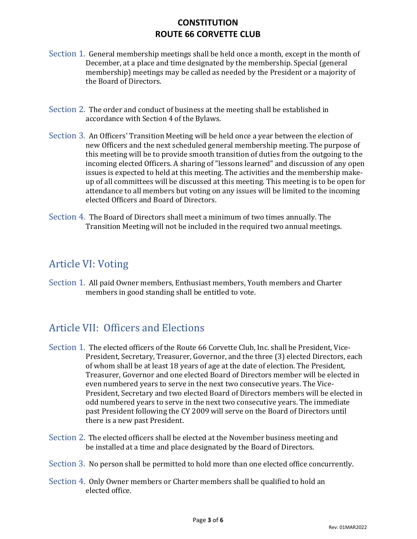- Section 1. General membership meetings shall be held once a month, except in the month of December, at a place and time designated by the membership. Special (general membership) meetings may be called as needed by the President or a majority of the Board of Directors.
- Section 2. The order and conduct of business at the meeting shall be established in accordance with Section 4 of the Bylaws.
- Section 3. An Officers' Transition Meeting will be held once a year between the election of new Officers and the next scheduled general membership meeting. The purpose of this meeting will be to provide smooth transition of duties from the outgoing to the incoming elected Officers. A sharing of "lessons learned" and discussion of any open issues is expected to held at this meeting. The activities and the membership makeup of all committees will be discussed at this meeting. This meeting is to be open for attendance to all members but voting on any issues will be limited to the incoming elected Officers and Board of Directors.
- Section 4. The Board of Directors shall meet a minimum of two times annually. The Transition Meeting will not be included in the required two annual meetings.

## Article VI: Voting

Section 1. All paid Owner members, Enthusiast members, Youth members and Charter members in good standing shall be entitled to vote.

## Article VII: Officers and Elections

- Section 1. The elected officers of the Route 66 Corvette Club, Inc. shall be President, Vice-President, Secretary, Treasurer, Governor, and the three (3) elected Directors, each of whom shall be at least 18 years of age at the date of election. The President, Treasurer, Governor and one elected Board of Directors member will be elected in even numbered years to serve in the next two consecutive years. The Vice-President, Secretary and two elected Board of Directors members will be elected in odd numbered years to serve in the next two consecutive years. The immediate past President following the CY 2009 will serve on the Board of Directors until there is a new past President.
- Section 2. The elected officers shall be elected at the November business meeting and be installed at a time and place designated by the Board of Directors.
- Section 3. No person shall be permitted to hold more than one elected office concurrently.
- Section 4. Only Owner members or Charter members shall be qualified to hold an elected office.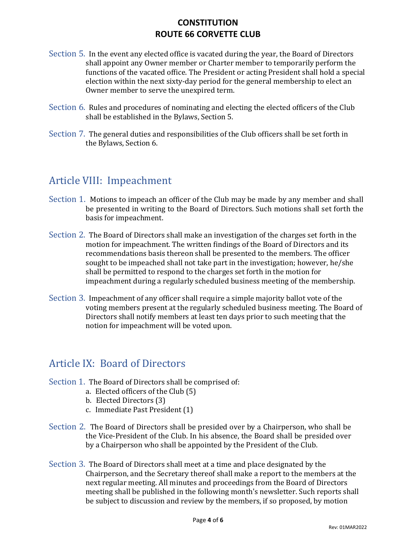- Section 5. In the event any elected office is vacated during the year, the Board of Directors shall appoint any Owner member or Charter member to temporarily perform the functions of the vacated office. The President or acting President shall hold a special election within the next sixty-day period for the general membership to elect an Owner member to serve the unexpired term.
- Section 6. Rules and procedures of nominating and electing the elected officers of the Club shall be established in the Bylaws, Section 5.
- Section 7. The general duties and responsibilities of the Club officers shall be set forth in the Bylaws, Section 6.

# Article VIII: Impeachment

- Section 1. Motions to impeach an officer of the Club may be made by any member and shall be presented in writing to the Board of Directors. Such motions shall set forth the basis for impeachment.
- Section 2. The Board of Directors shall make an investigation of the charges set forth in the motion for impeachment. The written findings of the Board of Directors and its recommendations basis thereon shall be presented to the members. The officer sought to be impeached shall not take part in the investigation; however, he/she shall be permitted to respond to the charges set forth in the motion for impeachment during a regularly scheduled business meeting of the membership.
- Section 3. Impeachment of any officer shall require a simple majority ballot vote of the voting members present at the regularly scheduled business meeting. The Board of Directors shall notify members at least ten days prior to such meeting that the notion for impeachment will be voted upon.

## Article IX: Board of Directors

- Section 1. The Board of Directors shall be comprised of:
	- a. Elected officers of the Club (5)
	- b. Elected Directors (3)
	- c. Immediate Past President (1)
- Section 2. The Board of Directors shall be presided over by a Chairperson, who shall be the Vice-President of the Club. In his absence, the Board shall be presided over by a Chairperson who shall be appointed by the President of the Club.
- Section 3. The Board of Directors shall meet at a time and place designated by the Chairperson, and the Secretary thereof shall make a report to the members at the next regular meeting. All minutes and proceedings from the Board of Directors meeting shall be published in the following month's newsletter. Such reports shall be subject to discussion and review by the members, if so proposed, by motion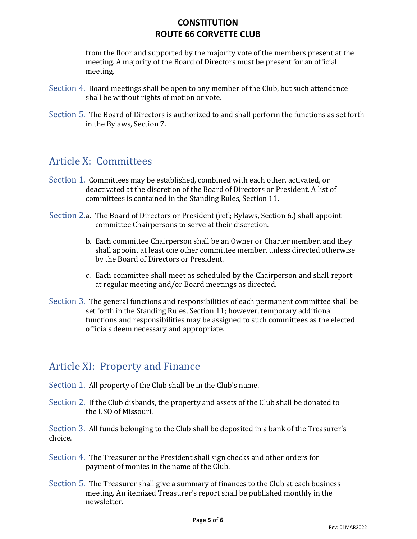from the floor and supported by the majority vote of the members present at the meeting. A majority of the Board of Directors must be present for an official meeting.

- Section 4. Board meetings shall be open to any member of the Club, but such attendance shall be without rights of motion or vote.
- Section 5. The Board of Directors is authorized to and shall perform the functions as set forth in the Bylaws, Section 7.

#### Article X: Committees

- Section 1. Committees may be established, combined with each other, activated, or deactivated at the discretion of the Board of Directors or President. A list of committees is contained in the Standing Rules, Section 11.
- Section 2.a. The Board of Directors or President (ref.; Bylaws, Section 6.) shall appoint committee Chairpersons to serve at their discretion.
	- b. Each committee Chairperson shall be an Owner or Charter member, and they shall appoint at least one other committee member, unless directed otherwise by the Board of Directors or President.
	- c. Each committee shall meet as scheduled by the Chairperson and shall report at regular meeting and/or Board meetings as directed.
- Section 3. The general functions and responsibilities of each permanent committee shall be set forth in the Standing Rules, Section 11; however, temporary additional functions and responsibilities may be assigned to such committees as the elected officials deem necessary and appropriate.

## Article XI: Property and Finance

- Section 1. All property of the Club shall be in the Club's name.
- Section 2. If the Club disbands, the property and assets of the Club shall be donated to the USO of Missouri.

Section 3. All funds belonging to the Club shall be deposited in a bank of the Treasurer's choice.

- Section 4. The Treasurer or the President shall sign checks and other orders for payment of monies in the name of the Club.
- Section 5. The Treasurer shall give a summary of finances to the Club at each business meeting. An itemized Treasurer's report shall be published monthly in the newsletter.